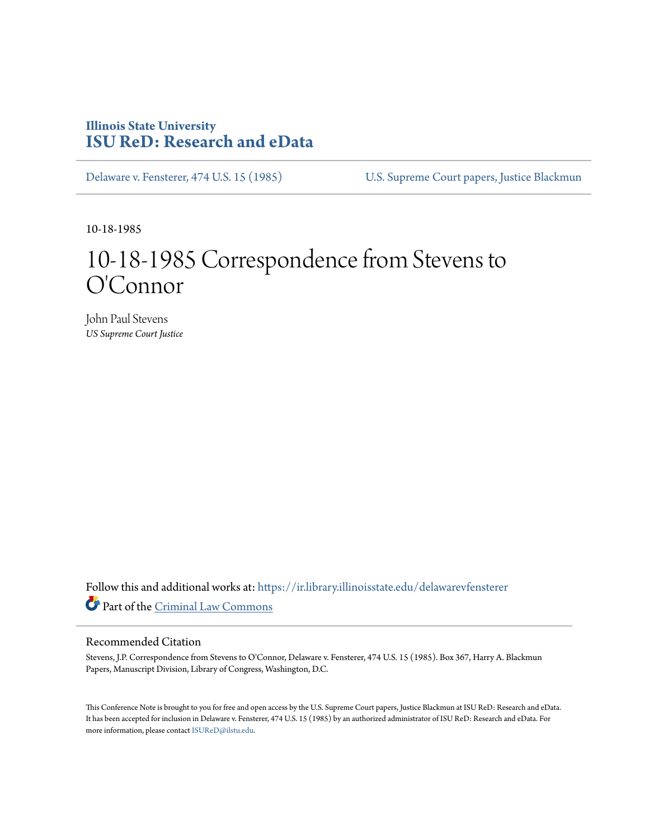## **Illinois State University [ISU ReD: Research and eData](https://ir.library.illinoisstate.edu?utm_source=ir.library.illinoisstate.edu%2Fdelawarevfensterer%2F10&utm_medium=PDF&utm_campaign=PDFCoverPages)**

[Delaware v. Fensterer, 474 U.S. 15 \(1985\)](https://ir.library.illinoisstate.edu/delawarevfensterer?utm_source=ir.library.illinoisstate.edu%2Fdelawarevfensterer%2F10&utm_medium=PDF&utm_campaign=PDFCoverPages) [U.S. Supreme Court papers, Justice Blackmun](https://ir.library.illinoisstate.edu/ss?utm_source=ir.library.illinoisstate.edu%2Fdelawarevfensterer%2F10&utm_medium=PDF&utm_campaign=PDFCoverPages)

10-18-1985

## 10-18-1985 Correspondence from Stevens to O'Connor

John Paul Stevens *US Supreme Court Justice*

Follow this and additional works at: [https://ir.library.illinoisstate.edu/delawarevfensterer](https://ir.library.illinoisstate.edu/delawarevfensterer?utm_source=ir.library.illinoisstate.edu%2Fdelawarevfensterer%2F10&utm_medium=PDF&utm_campaign=PDFCoverPages) Part of the [Criminal Law Commons](http://network.bepress.com/hgg/discipline/912?utm_source=ir.library.illinoisstate.edu%2Fdelawarevfensterer%2F10&utm_medium=PDF&utm_campaign=PDFCoverPages)

## Recommended Citation

Stevens, J.P. Correspondence from Stevens to O'Connor, Delaware v. Fensterer, 474 U.S. 15 (1985). Box 367, Harry A. Blackmun Papers, Manuscript Division, Library of Congress, Washington, D.C.

This Conference Note is brought to you for free and open access by the U.S. Supreme Court papers, Justice Blackmun at ISU ReD: Research and eData. It has been accepted for inclusion in Delaware v. Fensterer, 474 U.S. 15 (1985) by an authorized administrator of ISU ReD: Research and eData. For more information, please contact [ISUReD@ilstu.edu](mailto:ISUReD@ilstu.edu).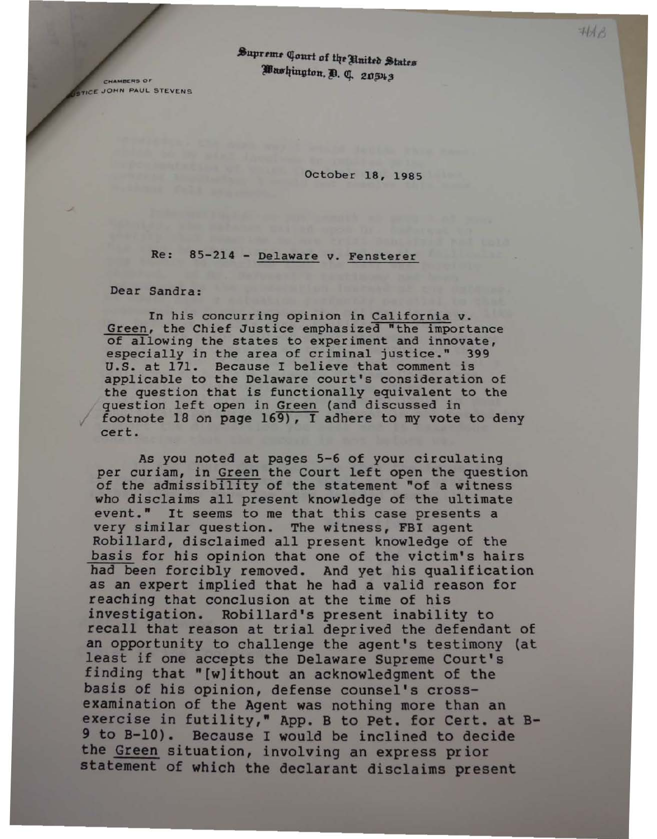Supreme Court of the United States Washington, D. C. 20543

CHAMBERS OF **STICE JOHN PAUL STEVENS** 

October 18, 1985

## Re: 85-214 - Delaware v. Fensterer

Dear Sandra:

In his concurring opinion in California v.<br>Green, the Chief Justice emphasized "the importance of allowing the states to experiment and innovate, especially in the area of criminal justice." 399 u.s. at 171. Because I believe that comment is applicable to the Delaware court's consideration of the question that is functionally equivalent to the question left open in Green (and discussed in footnote 18 on page 169), I adhere to my vote to deny cert.

As you noted at pages 5-6 of your circulating<br>per curiam, in Green the Court left open the question of the admissibility of the statement "of a witness who disclaims all present knowledge of the ultimate event." It seems to me that this case presents a very similar question. The witness, FBI agent<br>Robillard, disclaimed all present knowledge of the basis for his opinion that one of the victim's hairs bad been forcibly removed. And yet his qualification as an expert implied that he had a valid reason for reaching that conclusion at the time of his investigation. Robillard's present inability to recall that reason at trial deprived the defendant of an opportunity to challenge the agent's testimony (at least if one accepts the Delaware Supreme Court's finding that "[w]ithout an acknowledgment of the basis of his opinion, defense counsel's crossexamination of the Agent was nothing more than an exercise in futility," App. B to Pet. for Cert. at B-9 to B-10). Because I would be inclined to decide<br>the Green situation, involving an express prior statement of which the declarant disclaims present